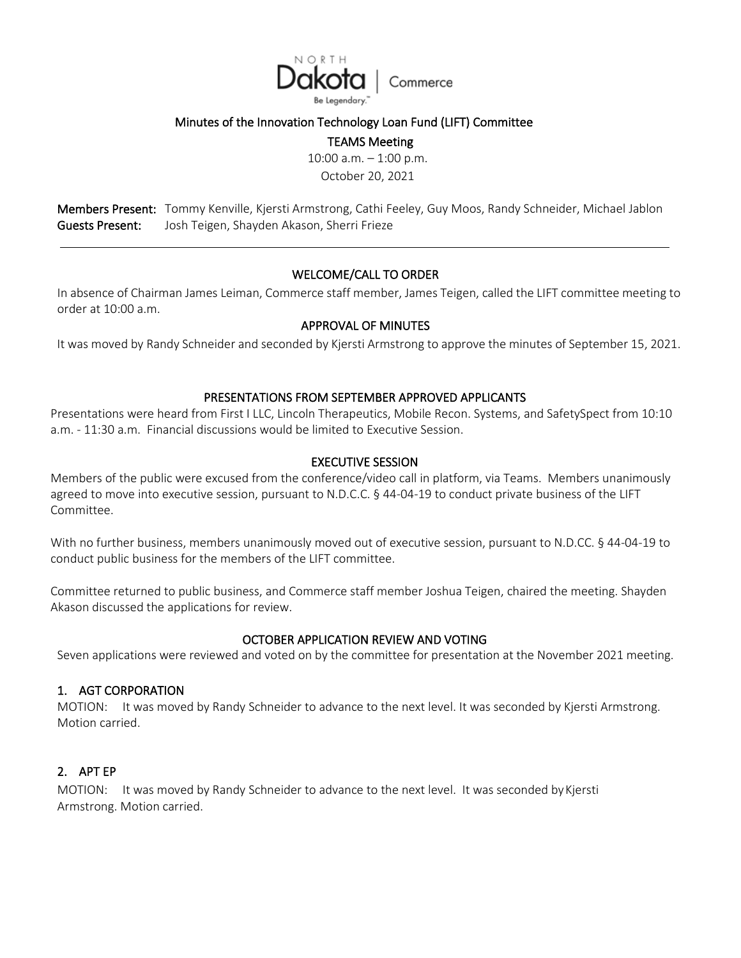

#### Minutes of the Innovation Technology Loan Fund (LIFT) Committee

TEAMS Meeting

10:00 a.m. – 1:00 p.m. October 20, 2021

Members Present: Tommy Kenville, Kjersti Armstrong, Cathi Feeley, Guy Moos, Randy Schneider, Michael Jablon Guests Present: Josh Teigen, Shayden Akason, Sherri Frieze

# WELCOME/CALL TO ORDER

In absence of Chairman James Leiman, Commerce staff member, James Teigen, called the LIFT committee meeting to order at 10:00 a.m.

### APPROVAL OF MINUTES

It was moved by Randy Schneider and seconded by Kjersti Armstrong to approve the minutes of September 15, 2021.

#### PRESENTATIONS FROM SEPTEMBER APPROVED APPLICANTS

Presentations were heard from First I LLC, Lincoln Therapeutics, Mobile Recon. Systems, and SafetySpect from 10:10 a.m. - 11:30 a.m. Financial discussions would be limited to Executive Session.

### EXECUTIVE SESSION

Members of the public were excused from the conference/video call in platform, via Teams. Members unanimously agreed to move into executive session, pursuant to N.D.C.C. § 44-04-19 to conduct private business of the LIFT Committee.

With no further business, members unanimously moved out of executive session, pursuant to N.D.CC. § 44-04-19 to conduct public business for the members of the LIFT committee.

Committee returned to public business, and Commerce staff member Joshua Teigen, chaired the meeting. Shayden Akason discussed the applications for review.

### OCTOBER APPLICATION REVIEW AND VOTING

Seven applications were reviewed and voted on by the committee for presentation at the November 2021 meeting.

#### 1. AGT CORPORATION

MOTION: It was moved by Randy Schneider to advance to the next level. It was seconded by Kjersti Armstrong. Motion carried.

# 2. APT EP

MOTION: It was moved by Randy Schneider to advance to the next level. It was seconded by Kjersti Armstrong. Motion carried.